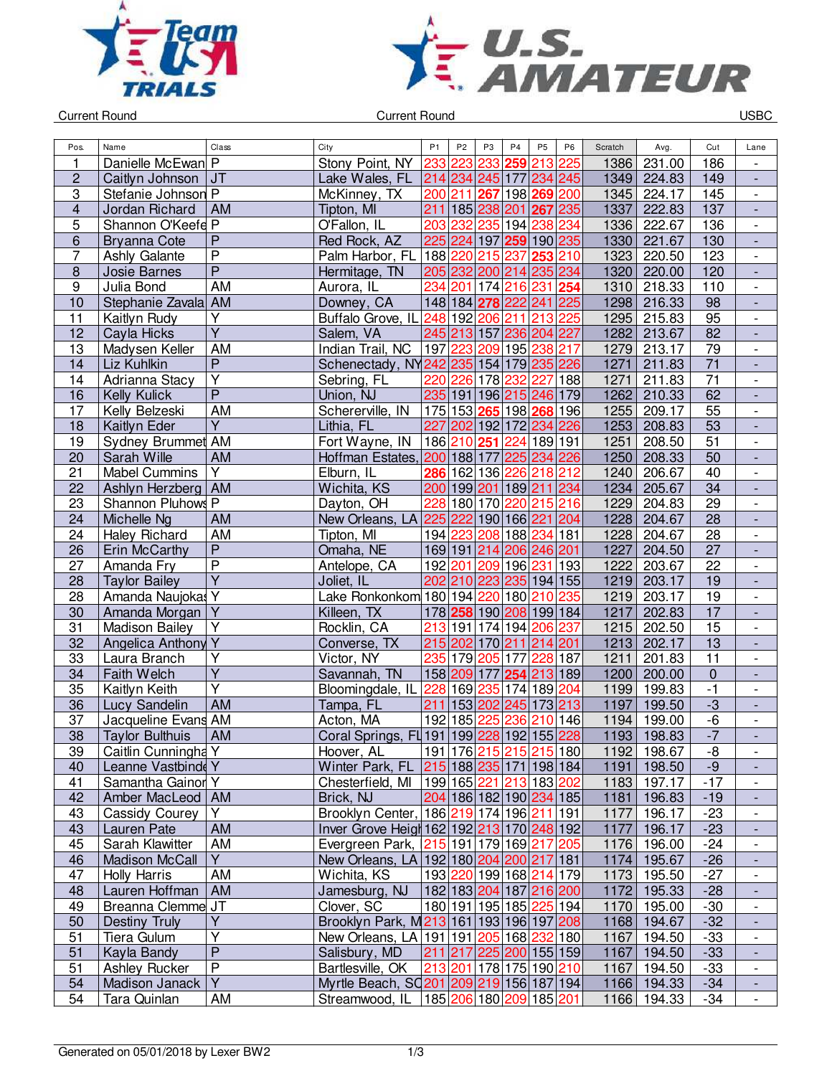



Current Round USBC

| Pos.                    | Name                   | Class                   | City                                               | P <sub>1</sub> | P <sub>2</sub>  | P <sub>3</sub> | P <sub>4</sub>  | P <sub>5</sub>                         | P <sub>6</sub> | Scratch | Avg.        | Cut             | Lane                         |
|-------------------------|------------------------|-------------------------|----------------------------------------------------|----------------|-----------------|----------------|-----------------|----------------------------------------|----------------|---------|-------------|-----------------|------------------------------|
| 1                       | Danielle McEwan P      |                         | Stony Point, NY                                    | 233            | 223             | 233            | 259             | 213 225                                |                | 1386    | 231.00      | 186             |                              |
| $\overline{\mathbf{c}}$ | Caitlyn Johnson        | JT                      | Lake Wales, FL                                     |                |                 |                |                 | 214 234 245 177 234 245                |                | 1349    | 224.83      | 149             |                              |
| 3                       | Stefanie Johnson P     |                         | McKinney, TX                                       |                | 200 211         | 267            |                 | 198 269 200                            |                | 1345    | 224.17      | 145             | $\overline{\phantom{a}}$     |
| $\overline{\mathbf{4}}$ | Jordan Richard         | <b>AM</b>               | Tipton, MI                                         | 211            |                 |                | 185 238 201 267 |                                        | 235            | 1337    | 222.83      | 137             | $\blacksquare$               |
| 5                       | Shannon O'Keefe P      |                         | O'Fallon, IL                                       |                | 203 232         | 235            | 194             | 238                                    | 234            | 1336    | 222.67      | 136             | $\blacksquare$               |
| 6                       | <b>Bryanna Cote</b>    | $\mathsf{P}$            | Red Rock, AZ                                       |                |                 |                |                 | 225 224 197 259 190 235                |                | 1330    | 221.67      | 130             | $\Box$                       |
| 7                       | Ashly Galante          | $\overline{P}$          | Palm Harbor, FL 188 220                            |                |                 | 215 237        |                 | 253 210                                |                | 1323    | 220.50      | 123             | $\blacksquare$               |
| $\overline{8}$          | Josie Barnes           | $\overline{P}$          | Hermitage, TN                                      |                |                 |                |                 | 205 232 200 214 235 234                |                | 1320    | 220.00      | 120             | $\overline{\phantom{a}}$     |
| $\boldsymbol{9}$        | Julia Bond             | <b>AM</b>               | Aurora, IL                                         | 234            | 201 174 216 231 |                |                 |                                        | 254            | 1310    | 218.33      | 110             | $\overline{\phantom{a}}$     |
| 10                      | Stephanie Zavala AM    |                         | Downey, CA                                         |                |                 |                |                 | 148 184 278 222 241 225                |                | 1298    | 216.33      | 98              | $\overline{\phantom{a}}$     |
| 11                      | Kaitlyn Rudy           | Υ                       | Buffalo Grove, IL                                  |                | 248 192 206 211 |                |                 | 213 225                                |                | 1295    | 215.83      | 95              | $\frac{1}{2}$                |
| 12                      | Cayla Hicks            | $\overline{Y}$          | Salem, VA                                          |                |                 |                |                 | 245 213 157 236 204 227                |                | 1282    | 213.67      | 82              |                              |
| $\overline{13}$         | Madysen Keller         | <b>AM</b>               | Indian Trail, NC                                   | 197            | 223             |                |                 | 209 195 238 217                        |                | 1279    | 213.17      | 79              | $\overline{\phantom{a}}$     |
| 14                      | Liz Kuhlkin            | $\overline{P}$          | Schenectady, NY242 235 154 179 235 226             |                |                 |                |                 |                                        |                | 1271    | 211.83      | 71              | $\overline{a}$               |
| 14                      | Adrianna Stacy         | $\overline{Y}$          | Sebring, FL                                        | 220            | 226             |                | 178 232         | 227                                    | 188            | 1271    | 211.83      | $\overline{71}$ | $\overline{\phantom{a}}$     |
| 16                      | Kelly Kulick           | $\overline{P}$          | Union, NJ                                          |                |                 |                |                 | 235 191 196 215 246 179                |                | 1262    | 210.33      | 62              | $\Box$                       |
| 17                      | Kelly Belzeski         | <b>AM</b>               | Schererville, IN                                   |                |                 |                |                 | 175 153 265 198 268 196                |                | 1255    | 209.17      | 55              | $\overline{\phantom{a}}$     |
| 18                      | Kaitlyn Eder           | $\overline{Y}$          | Lithia, FL                                         | 227            |                 |                |                 | 202 192 172 234 226                    |                | 1253    | 208.83      | 53              | $\blacksquare$               |
| 19                      | Sydney Brummet AM      |                         | Fort Wayne, IN                                     |                | 186 210 251     |                | 224             | 189 191                                |                | 1251    | 208.50      | 51              | $\overline{\phantom{a}}$     |
| 20                      | Sarah Wille            | AM                      | Hoffman Estates,                                   |                | 200 188 177     |                |                 | 225 234 226                            |                | 1250    | 208.33      | 50              | $\overline{\phantom{a}}$     |
| 21                      | <b>Mabel Cummins</b>   | Y                       | Elburn, IL                                         |                | 286 162 136 226 |                |                 | 218                                    | 212            | 1240    | 206.67      | 40              | $\overline{\phantom{a}}$     |
| 22                      | Ashlyn Herzberg        | AM                      | Wichita, KS                                        |                |                 |                |                 | 200 199 201 189 211 234                |                | 1234    | 205.67      | 34              |                              |
| 23                      | Shannon Pluhows P      |                         | Dayton, OH                                         | 228            |                 |                |                 | 180 170 220 215 216                    |                | 1229    | 204.83      | 29              | $\overline{\phantom{a}}$     |
| 24                      | Michelle Ng            | <b>AM</b>               | New Orleans, LA                                    |                | 225 222         |                |                 | 190 166 221 204                        |                | 1228    | 204.67      | $\overline{28}$ |                              |
| 24                      | Haley Richard          | AM                      | Tipton, MI                                         |                | 194 223         |                |                 | 208 188 234 181                        |                | 1228    | 204.67      | 28              | $\overline{\phantom{a}}$     |
| 26                      | Erin McCarthy          | $\overline{P}$          | Omaha, NE                                          |                |                 |                |                 | 169 191 214 206 246 201                |                | 1227    | 204.50      | $\overline{27}$ | $\overline{\phantom{a}}$     |
| 27                      | Amanda Fry             | $\overline{P}$          | Antelope, CA                                       |                | 192 201         |                | 209 196 231     |                                        | 193            | 1222    | 203.67      | 22              | $\overline{\phantom{a}}$     |
| $\overline{28}$         | <b>Taylor Bailey</b>   | $\overline{Y}$          | Joliet, IL                                         |                |                 |                |                 | 202 210 223 235 194 155                |                | 1219    | 203.17      | 19              | $\frac{1}{2}$                |
| 28                      | Amanda Naujokas Y      |                         | Lake Ronkonkom 180 194 220                         |                |                 |                | 180             | 210                                    | 235            | 1219    | 203.17      | 19              | $\overline{\phantom{a}}$     |
| 30                      | Amanda Morgan          | Y                       | Killeen, TX                                        |                |                 |                |                 | 178 258 190 208 199 184                |                | 1217    | 202.83      | 17              | $\overline{\phantom{a}}$     |
| 31                      | <b>Madison Bailey</b>  | Υ                       | Rocklin, CA                                        | 213            | 191 174 194     |                |                 | 206                                    | 237            | 1215    | 202.50      | $\overline{15}$ | $\overline{\phantom{a}}$     |
| 32                      | Angelica Anthony Y     |                         | Converse, TX                                       |                | 215 202         |                | 170 211         | 214 201                                |                | 1213    | 202.17      | 13              |                              |
| 33                      | Laura Branch           | Υ                       | Victor, NY                                         |                | 235 179 205     |                | 177             | 228                                    | 187            | 1211    | 201.83      | $\overline{11}$ | $\overline{\phantom{a}}$     |
| 34                      | Faith Welch            | $\overline{\mathsf{Y}}$ | Savannah, TN                                       |                | 158 209         | 177            | 254             | 213 189                                |                | 1200    | 200.00      | $\mathbf 0$     | ÷,                           |
| 35                      | Kaitlyn Keith          | Y                       | Bloomingdale, IL                                   |                |                 |                |                 | 228 169 235 174 189 204                |                | 1199    | 199.83      | $-1$            | $\overline{\phantom{a}}$     |
| 36                      | Lucy Sandelin          | <b>AM</b>               | Tampa, FL                                          | 211            |                 |                |                 | 153 202 245 173 213                    |                | 1197    | 199.50      | $-3$            | $\blacksquare$               |
| 37                      | Jacqueline Evans AM    |                         | Acton, MA                                          |                | 192 185         | 225            | 236             | 210                                    | 146            | 1194    | 199.00      | -6              | $\overline{\phantom{a}}$     |
| 38                      | <b>Taylor Bulthuis</b> | AM                      | Coral Springs, FL 191 199 228 192 155 228          |                |                 |                |                 |                                        |                | 1193    | 198.83      | $-7$            |                              |
|                         |                        |                         |                                                    |                |                 |                |                 |                                        |                |         |             |                 |                              |
| 39                      | Caitlin Cunningha Y    |                         | Hoover, AL                                         |                |                 |                |                 | 191 176  <mark>215 215 215</mark>  180 |                |         | 1192 198.67 | -8<br>$-9$      | $\overline{\phantom{a}}$     |
| 40                      | Leanne Vastbinde Y     |                         | Winter Park, FL                                    |                |                 |                |                 | 215 188 235 171 198 184                |                | 1191    | 198.50      | $-17$           | $\overline{\phantom{a}}$     |
| 41                      | Samantha Gainor Y      |                         | Chesterfield, MI                                   |                |                 |                |                 | 199 165  <mark>221 213</mark>  183 202 |                |         | 1183 197.17 |                 | $\overline{\phantom{a}}$     |
| 42                      | Amber MacLeod   AM     |                         | Brick, NJ                                          |                |                 |                |                 | 204 186 182 190 234 185                |                |         | 1181 196.83 | $-19$           |                              |
| 43                      | Cassidy Courey         | Υ                       | Brooklyn Center, 186 219 174 196 211 191           |                |                 |                |                 |                                        |                | 1177    | 196.17      | $-23$           | $\overline{\phantom{a}}$     |
| 43                      | Lauren Pate            | AM                      | Inver Grove Heigh 162 192 213 170 248 192          |                |                 |                |                 |                                        |                | 1177    | 196.17      | $-23$           |                              |
| 45                      | Sarah Klawitter        | AM                      | Evergreen Park, 215 191 179 169 217 205            |                |                 |                |                 |                                        |                | 1176    | 196.00      | $-24$           | $\qquad \qquad \blacksquare$ |
| 46                      | <b>Madison McCall</b>  | Y.                      | New Orleans, LA 192 180 204 200 217 181            |                |                 |                |                 |                                        |                | 1174    | 195.67      | $-26$           | $\overline{\phantom{a}}$     |
| 47                      | <b>Holly Harris</b>    | AM                      | Wichita, KS                                        |                |                 |                |                 | 193 220 199 168 214 179                |                | 1173    | 195.50      | $-27$           | $\overline{\phantom{a}}$     |
| 48                      | Lauren Hoffman         | AM                      | Jamesburg, NJ                                      |                |                 |                |                 | 182 183 204 187 216 200                |                |         | 1172 195.33 | $-28$           | $\frac{1}{2}$                |
| 49                      | Breanna Clemme JT      |                         | Clover, SC                                         |                |                 |                |                 | 180 191 195 185 225 194                |                |         | 1170 195.00 | $-30$           | $\overline{\phantom{a}}$     |
| 50                      | Destiny Truly          | Y                       | Brooklyn Park, M213 161 193 196 197 208            |                |                 |                |                 |                                        |                |         | 1168 194.67 | $-32$           | $\overline{\phantom{a}}$     |
| 51                      | Tiera Gulum            | Y                       | New Orleans, LA 191 191 205 168 232 180            |                |                 |                |                 |                                        |                | 1167    | 194.50      | $-33$           | $\overline{\phantom{a}}$     |
| 51                      | Kayla Bandy            | $\overline{P}$          | Salisbury, MD                                      |                |                 |                |                 | 211 217 225 200 155 159                |                | 1167    | 194.50      | $-33$           |                              |
| 51                      | <b>Ashley Rucker</b>   | $\overline{P}$          | Bartlesville, OK                                   |                |                 |                |                 | 213 201 178 175 190 210                |                | 1167    | 194.50      | $-33$           | $\overline{\phantom{a}}$     |
| 54                      | Madison Janack         | $\overline{Y}$          | Myrtle Beach, SQ201 209 219 156 187 194            |                |                 |                |                 |                                        |                | 1166    | 194.33      | $-34$           |                              |
| 54                      | Tara Quinlan           | AM                      | Streamwood, IL   185   206   180   209   185   201 |                |                 |                |                 |                                        |                | 1166    | 194.33      | $-34$           | $\overline{\phantom{a}}$     |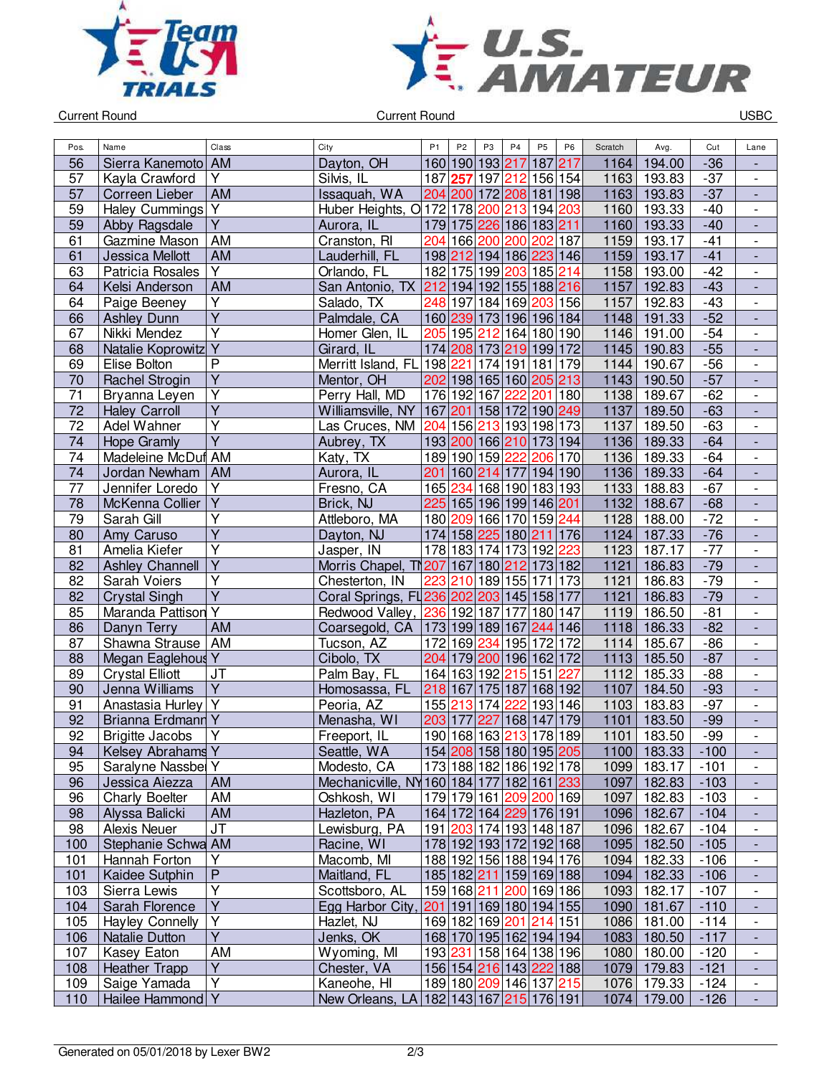



Current Round USBC

| Pos.            | Name                     | Class                            | City                                      | P <sub>1</sub> | P <sub>2</sub> | P <sub>3</sub>          | P <sub>4</sub>       | P <sub>5</sub> | P <sub>6</sub> | Scratch      | Avg.        | Cut            | Lane                                       |
|-----------------|--------------------------|----------------------------------|-------------------------------------------|----------------|----------------|-------------------------|----------------------|----------------|----------------|--------------|-------------|----------------|--------------------------------------------|
| 56              | Sierra Kanemoto   AM     |                                  | Dayton, OH                                |                |                | 160 190 193 217         |                      | 187 217        |                | 1164         | 194.00      | $-36$          |                                            |
| 57              | Kayla Crawford           | Y                                | Silvis, IL                                |                |                | 187 257 197 212 156 154 |                      |                |                | 1163         | 193.83      | $-37$          | $\overline{\phantom{a}}$                   |
| 57              | Correen Lieber           | <b>AM</b>                        | Issaquah, WA                              |                |                | 204 200 172 208 181 198 |                      |                |                | 1163         | 193.83      | $-37$          | $\overline{\phantom{a}}$                   |
| 59              | Haley Cummings Y         |                                  | Huber Heights, O 172 178 200 213 194 203  |                |                |                         |                      |                |                | 1160         | 193.33      | $-40$          | $\overline{\phantom{a}}$                   |
| 59              | Abby Ragsdale            | $\overline{Y}$                   | Aurora, IL                                |                |                | 179 175 226 186 183 211 |                      |                |                | 1160         | 193.33      | $-40$          | $\overline{\phantom{a}}$                   |
| 61              | Gazmine Mason            | AM                               | Cranston, RI                              |                |                | 204 166 200 200 202 187 |                      |                |                | 1159         | 193.17      | $-41$          | $\overline{\phantom{a}}$                   |
| 61              | Jessica Mellott          | <b>AM</b>                        | Lauderhill, FL                            |                |                | 198 212 194 186 223 146 |                      |                |                | 1159         | 193.17      | $-41$          | $\blacksquare$                             |
| 63              | Patricia Rosales         | $\overline{\mathsf{Y}}$          | Orlando, FL                               |                |                | 182 175 199 203 185 214 |                      |                |                | 1158         | 193.00      | $-42$          | $\overline{\phantom{a}}$                   |
| 64              | Kelsi Anderson           | <b>AM</b>                        | San Antonio, TX 212 194 192 155 188 216   |                |                |                         |                      |                |                | 1157         | 192.83      | $-43$          | $\blacksquare$                             |
| 64              | Paige Beeney             | $\overline{Y}$                   | Salado, TX                                |                |                | 248 197 184 169 203 156 |                      |                |                | 1157         | 192.83      | $-43$          | $\overline{\phantom{a}}$                   |
| 66              | <b>Ashley Dunn</b>       | Ÿ                                | Palmdale, CA                              |                |                | 160 239 173 196 196 184 |                      |                |                | 1148         | 191.33      | $-52$          | $\overline{\phantom{a}}$                   |
| 67              | Nikki Mendez             | $\overline{\mathsf{Y}}$          | Homer Glen, IL                            |                |                | 205 195 212 164 180 190 |                      |                |                | 1146         | 191.00      | $-54$          | $\blacksquare$                             |
| 68              | Natalie Koprowitz Y      |                                  | Girard, IL                                |                |                | 174 208 173 219 199 172 |                      |                |                | 1145         | 190.83      | $-55$          | $\blacksquare$                             |
| 69              | Elise Bolton             | $\overline{P}$                   | Merritt Island, FL 198 221                |                |                |                         | 174 191 181 179      |                |                | 1144         | 190.67      | $-56$          | $\overline{\phantom{a}}$                   |
| 70              | Rachel Strogin           | $\overline{\mathsf{Y}}$          | Mentor, OH                                |                |                | 202 198 165 160 205 213 |                      |                |                | 1143         | 190.50      | $-57$          | $\overline{\phantom{a}}$                   |
| 71              | Bryanna Leyen            | Υ                                | Perry Hall, MD                            |                |                | 176 192 167             | 222                  | 201 180        |                | 1138         | 189.67      | $-62$          | $\overline{\phantom{a}}$                   |
| 72              | <b>Haley Carroll</b>     | $\overline{Y}$                   | Williamsville, NY                         |                |                | 167 201 158 172 190 249 |                      |                |                | 1137         | 189.50      | $-63$          | $\Box$                                     |
| $\overline{72}$ | Adel Wahner              | $\overline{\mathsf{Y}}$          | Las Cruces, NM                            |                |                | 204 156 213 193 198 173 |                      |                |                | 1137         | 189.50      | $-63$          | $\blacksquare$                             |
| $\overline{74}$ | <b>Hope Gramly</b>       | $\overline{Y}$                   | Aubrey, TX                                |                |                | 193 200 166 210 173 194 |                      |                |                | 1136         | 189.33      | $-64$          | ÷,                                         |
| 74              | Madeleine McDuf AM       |                                  | Katy, TX                                  |                |                | 189 190 159 222 206 170 |                      |                |                | 1136         | 189.33      | $-64$          | $\overline{\phantom{a}}$                   |
| 74              | Jordan Newham            | <b>AM</b>                        | Aurora, IL                                |                |                | 201 160 214 177         |                      | 194 190        |                | 1136         | 189.33      | $-64$          |                                            |
| 77              | Jennifer Loredo          | Υ                                |                                           |                |                | 165 234 168 190 183 193 |                      |                |                |              |             | $-67$          | $\overline{\phantom{a}}$                   |
|                 |                          | $\overline{Y}$                   | Fresno, CA                                |                |                | 225 165 196 199 146 201 |                      |                |                | 1133<br>1132 | 188.83      |                | $\overline{\phantom{a}}$                   |
| 78<br>79        | McKenna Collier          | Υ                                | Brick, NJ                                 |                |                | 180 209 166 170 159 244 |                      |                |                |              | 188.67      | $-68$<br>$-72$ | $\overline{\phantom{a}}$                   |
|                 | Sarah Gill               | $\overline{Y}$                   | Attleboro, MA                             |                |                |                         |                      |                |                | 1128<br>1124 | 188.00      |                | $\overline{\phantom{a}}$                   |
| 80              | Amy Caruso               | Ÿ                                | Dayton, NJ                                |                |                | 174 158 225 180 211 176 |                      |                |                |              | 187.33      | $-76$          | $\overline{\phantom{a}}$                   |
| 81              | Amelia Kiefer            | $\overline{\mathsf{Y}}$          | Jasper, IN                                |                |                | 178 183 174 173 192     |                      |                | 223            | 1123         | 187.17      | $-77$          | $\overline{\phantom{a}}$                   |
| 82              | <b>Ashley Channell</b>   | $\overline{\mathsf{Y}}$          | Morris Chapel, T207 167 180 212 173 182   |                |                |                         |                      |                |                | 1121         | 186.83      | $-79$          | $\blacksquare$<br>$\overline{\phantom{a}}$ |
| $\overline{82}$ | Sarah Voiers             | $\overline{Y}$                   | Chesterton, IN                            |                |                | 223 210 189 155 171 173 |                      |                |                | 1121         | 186.83      | $-79$          |                                            |
| 82              | <b>Crystal Singh</b>     | $\overline{Y}$                   | Coral Springs, FL236 202 203 145 158 177  |                |                |                         |                      |                |                | 1121         | 186.83      | $-79$          | ÷,                                         |
| 85              | Maranda Pattison         |                                  | Redwood Valley, 236 192 187 177           |                |                |                         |                      | 180 147        |                | 1119         | 186.50      | $-81$          | $\overline{\phantom{a}}$                   |
| 86              | Danyn Terry              | <b>AM</b>                        | Coarsegold, CA                            |                |                | 173 199 189 167         |                      | 244 146        |                | 1118         | 186.33      | $-82$          | $\overline{\phantom{a}}$                   |
| 87              | Shawna Strause           | AM                               | Tucson, AZ                                |                |                | 172 169 234 195 172 172 |                      |                |                | 1114         | 185.67      | $-86$          | $\frac{1}{2}$                              |
| 88              | Megan Eaglehous Y        |                                  | Cibolo, TX                                |                |                | 204 179 200 196 162 172 |                      |                |                | 1113         | 185.50      | $-87$          |                                            |
| 89              | <b>Crystal Elliott</b>   | JT<br>$\overline{Y}$             | Palm Bay, FL                              |                |                | 164 163 192 215 151     |                      |                | 227            | 1112         | 185.33      | $-88$          | $\overline{\phantom{a}}$                   |
| 90              | Jenna Williams           | $\overline{Y}$                   | Homosassa, FL                             |                |                | 218 167 175 187         |                      | 168 192        |                | 1107         | 184.50      | $-93$          | $\overline{\phantom{a}}$                   |
| 91              | Anastasia Hurley         |                                  | Peoria, AZ                                |                | 155 213        | 227                     | $\overline{174}$ 222 | 193 146        |                | 1103<br>1101 | 183.83      | $-97$          | $\overline{\phantom{a}}$                   |
| 92              | <b>Brianna Erdmann Y</b> | $\overline{Y}$                   | Menasha, WI                               |                | 203 177        |                         |                      | 168 147 179    |                |              | 183.50      | $-99$          | $\blacksquare$<br>$\overline{a}$           |
| 92              | <b>Brigitte Jacobs</b>   |                                  | Freeport, IL                              |                |                | 190 168 163 213 178 189 |                      |                |                | 1101         | 183.50      | $-99$          |                                            |
| 94              | Kelsey Abrahams Y        |                                  | Seattle, WA                               |                |                | 154 208 158 180 195 205 |                      |                |                |              | 1100 183.33 | $-100$         | ٠                                          |
| 95              | Saralyne Nassbel Y       |                                  | Modesto, CA                               |                |                | 173 188 182 186 192 178 |                      |                |                |              | 1099 183.17 | $-101$         | $\overline{\phantom{a}}$                   |
| 96              | Jessica Aiezza           | <b>AM</b>                        | Mechanicville, NY 160 184 177 182 161 233 |                |                |                         |                      |                |                | 1097         | 182.83      | $-103$         | $\overline{\phantom{a}}$                   |
| 96              | <b>Charly Boelter</b>    | AM                               | Oshkosh, WI                               |                |                | 179 179 161 209 200 169 |                      |                |                | 1097         | 182.83      | $-103$         | $\overline{\phantom{a}}$                   |
| 98              | Alyssa Balicki           | <b>AM</b>                        | Hazleton, PA                              |                |                | 164 172 164 229 176 191 |                      |                |                | 1096         | 182.67      | $-104$         |                                            |
| 98              | Alexis Neuer             | <b>JT</b>                        | Lewisburg, PA                             |                |                | 191 203 174 193 148 187 |                      |                |                | 1096         | 182.67      | $-104$         | $\overline{\phantom{a}}$                   |
| 100             | Stephanie Schwa AM       |                                  | Racine, WI                                |                |                | 178 192 193 172 192 168 |                      |                |                | 1095         | 182.50      | $-105$         | $\overline{\phantom{a}}$                   |
| 101             | Hannah Forton            | Υ                                | Macomb, MI                                |                |                | 188 192 156 188 194 176 |                      |                |                | 1094         | 182.33      | $-106$         | $\overline{\phantom{a}}$                   |
| 101             | Kaidee Sutphin           | $\overline{P}$<br>$\overline{Y}$ | Maitland, FL                              |                |                | 185 182 211 159 169 188 |                      |                |                |              | 1094 182.33 | $-106$         | $\blacksquare$                             |
| 103             | Sierra Lewis             |                                  | Scottsboro, AL                            |                |                | 159 168 211 200 169 186 |                      |                |                | 1093         | 182.17      | $-107$         | $\overline{\phantom{a}}$                   |
| 104             | Sarah Florence           | Υ                                | Egg Harbor City, 201 191 169 180 194 155  |                |                |                         |                      |                |                |              | 1090 181.67 | $-110$         | $\blacksquare$                             |
| 105             | <b>Hayley Connelly</b>   | Υ                                | Hazlet, NJ                                |                |                | 169 182 169 201 214 151 |                      |                |                | 1086         | 181.00      | $-114$         | $\overline{\phantom{a}}$                   |
| 106             | Natalie Dutton           | $\overline{Y}$                   | Jenks, OK                                 |                |                | 168 170 195 162 194 194 |                      |                |                | 1083         | 180.50      | $-117$         | $\overline{\phantom{a}}$                   |
| 107             | Kasey Eaton              | AM                               | Wyoming, MI                               |                |                | 193 231 158 164 138 196 |                      |                |                |              | 1080 180.00 | $-120$         | $\overline{\phantom{a}}$                   |
| 108             | <b>Heather Trapp</b>     | Y<br>$\overline{Y}$              | Chester, VA                               |                |                | 156 154 216 143 222 188 |                      |                |                | 1079         | 179.83      | $-121$         | $\overline{\phantom{a}}$                   |
| 109             | Saige Yamada             |                                  | Kaneohe, HI                               |                |                | 189 180 209 146 137 215 |                      |                |                | 1076         | 179.33      | $-124$         | $\overline{\phantom{a}}$                   |
| 110             | Hailee Hammond Y         |                                  | New Orleans, LA 182 143 167 215 176 191   |                |                |                         |                      |                |                |              | 1074 179.00 | $-126$         |                                            |